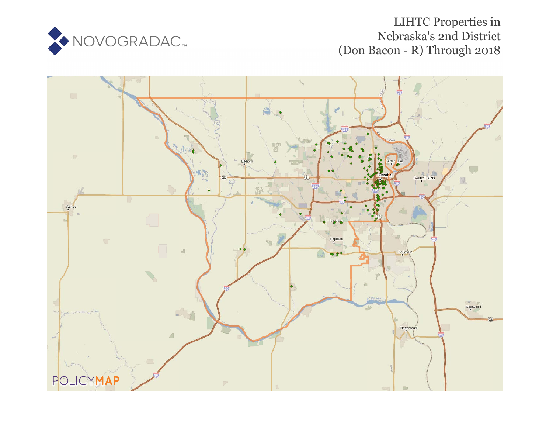

# LIHTC Properties in Nebraska's 2nd District (Don Bacon - R) Through 2018

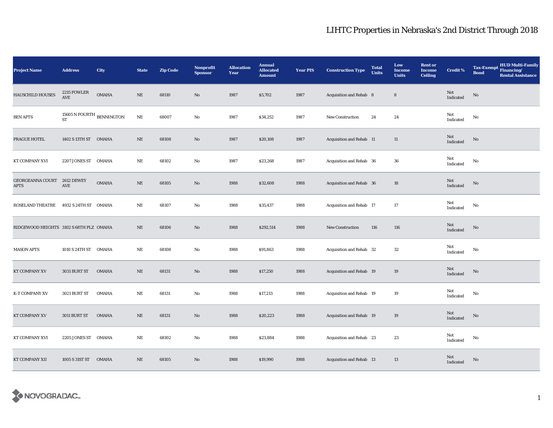| <b>Project Name</b>                     | <b>Address</b>                                   | City         | <b>State</b> | <b>Zip Code</b> | <b>Nonprofit</b><br><b>Sponsor</b> | <b>Allocation</b><br>Year | <b>Annual</b><br><b>Allocated</b><br><b>Amount</b> | <b>Year PIS</b> | <b>Construction Type</b> | <b>Total</b><br><b>Units</b> | Low<br><b>Income</b><br><b>Units</b> | <b>Rent or</b><br><b>Income</b><br><b>Ceiling</b> | <b>Credit %</b>                                   | <b>HUD Multi-Family</b><br><b>Tax-Exempt</b><br>Financing/<br><b>Bond</b><br><b>Rental Assistance</b> |
|-----------------------------------------|--------------------------------------------------|--------------|--------------|-----------------|------------------------------------|---------------------------|----------------------------------------------------|-----------------|--------------------------|------------------------------|--------------------------------------|---------------------------------------------------|---------------------------------------------------|-------------------------------------------------------------------------------------------------------|
| <b>HAUSCHILD HOUSES</b>                 | 2215 FOWLER<br>AVE                               | <b>OMAHA</b> | $\rm NE$     | 68110           | No                                 | 1987                      | \$5,702                                            | 1987            | Acquisition and Rehab 8  |                              | $\bf8$                               |                                                   | Not<br>Indicated                                  | No                                                                                                    |
| <b>BEN APTS</b>                         | 15605 N FOURTH $_{\rm BENNINGTON}$<br>${\rm ST}$ |              | $\rm NE$     | 68007           | No                                 | 1987                      | \$34,252                                           | 1987            | New Construction         | 24                           | 24                                   |                                                   | Not<br>Indicated                                  | No                                                                                                    |
| PRAGUE HOTEL                            | 1402 S 13TH ST OMAHA                             |              | $\rm NE$     | 68108           | No                                 | 1987                      | \$20,108                                           | 1987            | Acquisition and Rehab 11 |                              | 11                                   |                                                   | Not<br>$\label{thm:indicated} \textbf{Indicated}$ | $\mathbf{N}\mathbf{o}$                                                                                |
| KT COMPANY XVI                          | 2207 JONES ST OMAHA                              |              | $\rm NE$     | 68102           | No                                 | 1987                      | \$23,268                                           | 1987            | Acquisition and Rehab 36 |                              | 36                                   |                                                   | Not<br>Indicated                                  | No                                                                                                    |
| GEORGEANNA COURT 2612 DEWEY<br>APTS     | AVE                                              | <b>OMAHA</b> | $\rm NE$     | 68105           | No                                 | 1988                      | \$32,608                                           | 1988            | Acquisition and Rehab 36 |                              | 18                                   |                                                   | Not<br>$\operatorname{Indicated}$                 | No                                                                                                    |
| ROSELAND THEATRE                        | 4932 S 24TH ST OMAHA                             |              | $\rm{NE}$    | 68107           | No                                 | 1988                      | \$35,437                                           | 1988            | Acquisition and Rehab 17 |                              | $17\,$                               |                                                   | Not<br>Indicated                                  | No                                                                                                    |
| RIDGEWOOD HEIGHTS 3102 S 68TH PLZ OMAHA |                                                  |              | $\rm NE$     | 68106           | No                                 | 1988                      | \$292,514                                          | 1988            | New Construction         | 116                          | 116                                  |                                                   | Not<br>Indicated                                  | $\mathbf{N}\mathbf{o}$                                                                                |
| <b>MASON APTS</b>                       | 1010 S 24TH ST OMAHA                             |              | $\rm NE$     | 68108           | No                                 | 1988                      | \$91,863                                           | 1988            | Acquisition and Rehab 32 |                              | $32\,$                               |                                                   | Not<br>Indicated                                  | No                                                                                                    |
| KT COMPANY XV                           | 3031 BURT ST                                     | <b>OMAHA</b> | $\rm NE$     | 68131           | No                                 | 1988                      | \$17,250                                           | 1988            | Acquisition and Rehab 19 |                              | 19                                   |                                                   | Not<br>Indicated                                  | No                                                                                                    |
| K-T COMPANY XV                          | <b>3021 BURT ST</b>                              | <b>OMAHA</b> | NE           | 68131           | No                                 | 1988                      | \$17,213                                           | 1988            | Acquisition and Rehab 19 |                              | 19                                   |                                                   | Not<br>Indicated                                  | $\mathbf{No}$                                                                                         |
| KT COMPANY XV                           | 3011 BURT ST                                     | <b>OMAHA</b> | NE           | 68131           | No                                 | 1988                      | \$20,223                                           | 1988            | Acquisition and Rehab 19 |                              | 19                                   |                                                   | Not<br>Indicated                                  | No                                                                                                    |
| KT COMPANY XVI                          | 2205 JONES ST OMAHA                              |              | $\rm NE$     | 68102           | No                                 | 1988                      | \$23,884                                           | 1988            | Acquisition and Rehab 23 |                              | 23                                   |                                                   | Not<br>Indicated                                  | $\mathbf{N}\mathbf{o}$                                                                                |
| KT COMPANY XII                          | 1005 S 31ST ST                                   | <b>OMAHA</b> | NE           | 68105           | No                                 | 1988                      | \$19,990                                           | 1988            | Acquisition and Rehab 13 |                              | $13\,$                               |                                                   | Not<br>Indicated                                  | No                                                                                                    |

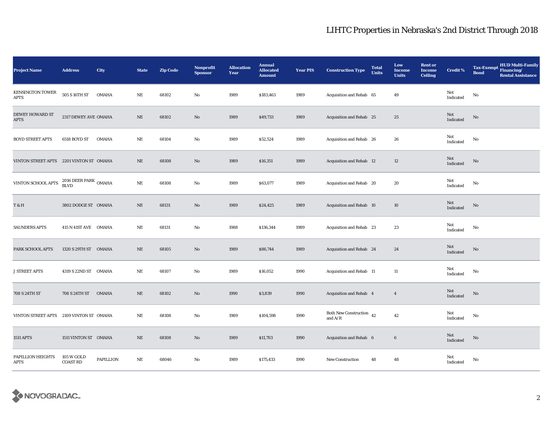| <b>Project Name</b>                     | <b>Address</b>                      | City             | <b>State</b> | <b>Zip Code</b> | Nonprofit<br><b>Sponsor</b> | <b>Allocation</b><br>Year | <b>Annual</b><br><b>Allocated</b><br><b>Amount</b> | <b>Year PIS</b> | <b>Construction Type</b>                   | <b>Total</b><br><b>Units</b> | Low<br><b>Income</b><br><b>Units</b> | <b>Rent or</b><br><b>Income</b><br><b>Ceiling</b> | <b>Credit %</b>  | <b>HUD Multi-Family</b><br>Tax-Exempt Financing/<br><b>Bond</b><br><b>Rental Assistance</b> |
|-----------------------------------------|-------------------------------------|------------------|--------------|-----------------|-----------------------------|---------------------------|----------------------------------------------------|-----------------|--------------------------------------------|------------------------------|--------------------------------------|---------------------------------------------------|------------------|---------------------------------------------------------------------------------------------|
| <b>KENSINGTON TOWER</b><br><b>APTS</b>  | 505 S 16TH ST                       | <b>OMAHA</b>     | $\rm NE$     | 68102           | $\rm No$                    | 1989                      | \$183,463                                          | 1989            | Acquisition and Rehab 65                   |                              | 49                                   |                                                   | Not<br>Indicated | No                                                                                          |
| DEWEY HOWARD ST<br>APTS                 | 2317 DEWEY AVE OMAHA                |                  | $\rm NE$     | 68102           | No                          | 1989                      | \$49,733                                           | 1989            | Acquisition and Rehab 25                   |                              | 25                                   |                                                   | Not<br>Indicated | $\rm No$                                                                                    |
| <b>BOYD STREET APTS</b>                 | 6518 BOYD ST                        | <b>OMAHA</b>     | $\rm NE$     | 68104           | No                          | 1989                      | \$52,524                                           | 1989            | Acquisition and Rehab 26                   |                              | 26                                   |                                                   | Not<br>Indicated | $\mathbf{No}$                                                                               |
| VINTON STREET APTS 2201 VINTON ST OMAHA |                                     |                  | $\rm NE$     | 68108           | No                          | 1989                      | \$16,351                                           | 1989            | <b>Acquisition and Rehab 12</b>            |                              | 12                                   |                                                   | Not<br>Indicated | No                                                                                          |
| VINTON SCHOOL APTS                      | 2016 DEER PARK OMAHA<br><b>BLVD</b> |                  | $\rm NE$     | 68108           | $\rm No$                    | 1989                      | \$63,077                                           | 1989            | Acquisition and Rehab 20                   |                              | 20                                   |                                                   | Not<br>Indicated | No                                                                                          |
| T & H                                   | 3802 DODGE ST OMAHA                 |                  | $\rm NE$     | 68131           | $\mathbf{No}$               | 1989                      | \$24,425                                           | 1989            | Acquisition and Rehab 10                   |                              | 10                                   |                                                   | Not<br>Indicated | $\rm No$                                                                                    |
| <b>SAUNDERS APTS</b>                    | 415 N 41ST AVE OMAHA                |                  | NE           | 68131           | No                          | 1988                      | \$136,344                                          | 1989            | Acquisition and Rehab 23                   |                              | 23                                   |                                                   | Not<br>Indicated | No                                                                                          |
| PARK SCHOOL APTS                        | 1320 S 29TH ST OMAHA                |                  | $\rm NE$     | 68105           | $\rm No$                    | 1989                      | \$86,744                                           | 1989            | Acquisition and Rehab 24                   |                              | 24                                   |                                                   | Not<br>Indicated | No                                                                                          |
| <b>J STREET APTS</b>                    | 4319 S 22ND ST OMAHA                |                  | $\rm NE$     | 68107           | No                          | 1989                      | \$16,052                                           | 1990            | Acquisition and Rehab 11                   |                              | $11\,$                               |                                                   | Not<br>Indicated | No                                                                                          |
| 708 S 24TH ST                           | 708 S 24TH ST                       | <b>OMAHA</b>     | $\rm NE$     | 68102           | No                          | 1990                      | \$3,839                                            | 1990            | Acquisition and Rehab 4                    |                              | $\overline{4}$                       |                                                   | Not<br>Indicated | $\mathbf{No}$                                                                               |
| VINTON STREET APTS                      | 2109 VINTON ST OMAHA                |                  | $_{\rm NE}$  | 68108           | No                          | 1989                      | \$104,598                                          | 1990            | Both New Construction $\,$ 42<br>and $A/R$ |                              | 42                                   |                                                   | Not<br>Indicated | No                                                                                          |
| <b>1511 APTS</b>                        | 1511 VINTON ST OMAHA                |                  | $\rm NE$     | 68108           | No                          | 1989                      | \$11,703                                           | 1990            | Acquisition and Rehab 6                    |                              | $\bf 6$                              |                                                   | Not<br>Indicated | $\rm No$                                                                                    |
| PAPILLION HEIGHTS<br>APTS               | 105 W GOLD<br><b>COAST RD</b>       | <b>PAPILLION</b> | NE           | 68046           | No                          | 1989                      | \$175,433                                          | 1990            | <b>New Construction</b>                    | 48                           | 48                                   |                                                   | Not<br>Indicated | No                                                                                          |

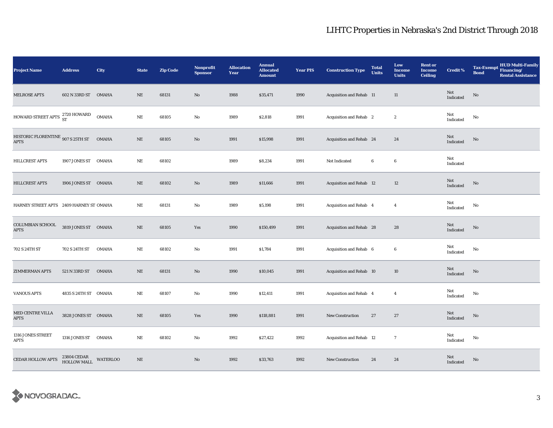| <b>Project Name</b>                              | <b>Address</b>             | City            | <b>State</b> | <b>Zip Code</b> | Nonprofit<br><b>Sponsor</b> | <b>Allocation</b><br>Year | <b>Annual</b><br><b>Allocated</b><br><b>Amount</b> | <b>Year PIS</b> | <b>Construction Type</b> | <b>Total</b><br><b>Units</b> | Low<br><b>Income</b><br><b>Units</b> | <b>Rent or</b><br><b>Income</b><br><b>Ceiling</b> | <b>Credit %</b>  | <b>HUD Multi-Family</b><br>Tax-Exempt Financing/<br><b>Bond</b><br><b>Rental Assistance</b> |
|--------------------------------------------------|----------------------------|-----------------|--------------|-----------------|-----------------------------|---------------------------|----------------------------------------------------|-----------------|--------------------------|------------------------------|--------------------------------------|---------------------------------------------------|------------------|---------------------------------------------------------------------------------------------|
| <b>MELROSE APTS</b>                              | 602 N 33RD ST              | <b>OMAHA</b>    | NE           | 68131           | No                          | 1988                      | \$35,471                                           | 1990            | Acquisition and Rehab 11 |                              | 11                                   |                                                   | Not<br>Indicated | No                                                                                          |
| HOWARD STREET APTS $^{2720}_{ST}$ HOWARD         |                            | <b>OMAHA</b>    | $\rm NE$     | 68105           | No                          | 1989                      | \$2,818                                            | 1991            | Acquisition and Rehab 2  |                              | $\boldsymbol{2}$                     |                                                   | Not<br>Indicated | No                                                                                          |
| HISTORIC FLORENTINE 907 S 25TH ST<br><b>APTS</b> |                            | <b>OMAHA</b>    | $\rm NE$     | 68105           | $\mathbf{N}\mathbf{o}$      | 1991                      | \$15,998                                           | 1991            | Acquisition and Rehab 24 |                              | 24                                   |                                                   | Not<br>Indicated | No                                                                                          |
| HILLCREST APTS                                   | 1907 JONES ST              | OMAHA           | NE           | 68102           |                             | 1989                      | \$8,234                                            | 1991            | Not Indicated            | $\boldsymbol{6}$             | $\boldsymbol{6}$                     |                                                   | Not<br>Indicated |                                                                                             |
| HILLCREST APTS                                   | 1906 JONES ST OMAHA        |                 | $\rm NE$     | 68102           | $\mathbf{N}\mathbf{o}$      | 1989                      | \$11,666                                           | 1991            | Acquisition and Rehab 12 |                              | 12                                   |                                                   | Not<br>Indicated | No                                                                                          |
| HARNEY STREET APTS 2409 HARNEY ST OMAHA          |                            |                 | NE           | 68131           | No                          | 1989                      | \$5,198                                            | 1991            | Acquisition and Rehab 4  |                              | $\overline{4}$                       |                                                   | Not<br>Indicated | No                                                                                          |
| <b>COLUMBIAN SCHOOL</b><br><b>APTS</b>           | 3819 JONES ST OMAHA        |                 | $\rm NE$     | 68105           | Yes                         | 1990                      | \$150,499                                          | 1991            | Acquisition and Rehab 28 |                              | 28                                   |                                                   | Not<br>Indicated | No                                                                                          |
| 702 S 24TH ST                                    | 702 S 24TH ST              | OMAHA           | $_{\rm NE}$  | 68102           | No                          | 1991                      | \$1,784                                            | 1991            | Acquisition and Rehab 6  |                              | 6                                    |                                                   | Not<br>Indicated | No                                                                                          |
| <b>ZIMMERMAN APTS</b>                            | 521 N 33RD ST              | <b>OMAHA</b>    | $\rm NE$     | 68131           | No                          | 1990                      | \$10,045                                           | 1991            | Acquisition and Rehab 10 |                              | 10                                   |                                                   | Not<br>Indicated | $\rm No$                                                                                    |
| <b>VANOUS APTS</b>                               | 4835 S 24TH ST OMAHA       |                 | $\rm NE$     | 68107           | No                          | 1990                      | \$12,411                                           | 1991            | Acquisition and Rehab 4  |                              | $\overline{4}$                       |                                                   | Not<br>Indicated | No                                                                                          |
| MED CENTRE VILLA<br><b>APTS</b>                  | 3828 JONES ST OMAHA        |                 | $\rm NE$     | 68105           | Yes                         | 1990                      | \$118,881                                          | 1991            | <b>New Construction</b>  | 27                           | 27                                   |                                                   | Not<br>Indicated | No                                                                                          |
| 1316 JONES STREET<br>APTS                        | 1316 JONES ST              | OMAHA           | $\rm NE$     | 68102           | No                          | 1992                      | \$27,422                                           | 1992            | Acquisition and Rehab 12 |                              | $\tau$                               |                                                   | Not<br>Indicated | No                                                                                          |
| <b>CEDAR HOLLOW APTS</b>                         | 23804 CEDAR<br>HOLLOW MALL | <b>WATERLOO</b> | NE           |                 | No                          | 1992                      | \$33,763                                           | 1992            | <b>New Construction</b>  | 24                           | 24                                   |                                                   | Not<br>Indicated | No                                                                                          |

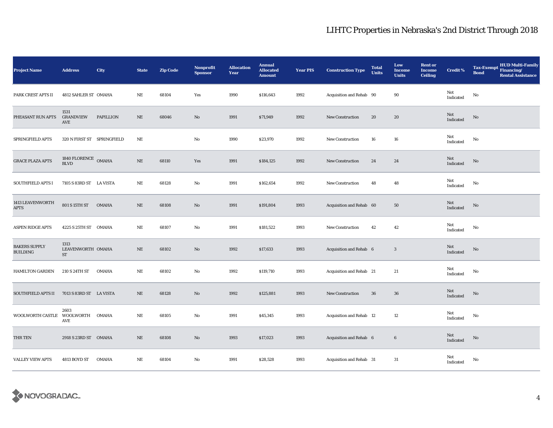| <b>Project Name</b>                     | <b>Address</b>                            | City         | <b>State</b> | <b>Zip Code</b> | <b>Nonprofit</b><br><b>Sponsor</b> | <b>Allocation</b><br>Year | <b>Annual</b><br><b>Allocated</b><br><b>Amount</b> | <b>Year PIS</b> | <b>Construction Type</b> | <b>Total</b><br><b>Units</b> | Low<br><b>Income</b><br><b>Units</b> | <b>Rent or</b><br><b>Income</b><br><b>Ceiling</b> | <b>Credit %</b>  | <b>HUD Multi-Family</b><br>Tax-Exempt Financing/<br><b>Bond</b><br><b>Rental Assistance</b> |
|-----------------------------------------|-------------------------------------------|--------------|--------------|-----------------|------------------------------------|---------------------------|----------------------------------------------------|-----------------|--------------------------|------------------------------|--------------------------------------|---------------------------------------------------|------------------|---------------------------------------------------------------------------------------------|
| PARK CREST APTS II                      | 4812 SAHLER ST OMAHA                      |              | $\rm NE$     | 68104           | Yes                                | 1990                      | \$116,643                                          | 1992            | Acquisition and Rehab 90 |                              | 90                                   |                                                   | Not<br>Indicated | No                                                                                          |
| PHEASANT RUN APTS                       | 1531<br><b>GRANDVIEW</b><br>AVE           | PAPILLION    | $\rm NE$     | 68046           | $\mathbf{N}\mathbf{o}$             | 1991                      | \$71,949                                           | 1992            | <b>New Construction</b>  | 20                           | 20                                   |                                                   | Not<br>Indicated | No                                                                                          |
| SPRINGFIELD APTS                        | 320 N FIRST ST SPRINGFIELD                |              | NE           |                 | No                                 | 1990                      | \$23,970                                           | 1992            | <b>New Construction</b>  | 16                           | 16                                   |                                                   | Not<br>Indicated | No                                                                                          |
| <b>GRACE PLAZA APTS</b>                 | $1840$ FLORENCE $\,$ OMAHA<br><b>BLVD</b> |              | $\rm NE$     | 68110           | Yes                                | 1991                      | \$184,125                                          | 1992            | New Construction         | 24                           | 24                                   |                                                   | Not<br>Indicated | $\rm No$                                                                                    |
| SOUTHFIELD APTS I                       | 7105 S 83RD ST LA VISTA                   |              | $\rm NE$     | 68128           | No                                 | 1991                      | \$162,654                                          | 1992            | <b>New Construction</b>  | 48                           | 48                                   |                                                   | Not<br>Indicated | No                                                                                          |
| 1413 LEAVENWORTH<br><b>APTS</b>         | 801 S 15TH ST                             | <b>OMAHA</b> | $\rm NE$     | 68108           | No                                 | 1991                      | \$191,804                                          | 1993            | Acquisition and Rehab 60 |                              | 50                                   |                                                   | Not<br>Indicated | No                                                                                          |
| ASPEN RIDGE APTS                        | 4225 S 25TH ST OMAHA                      |              | $\rm NE$     | 68107           | No                                 | 1991                      | \$181,522                                          | 1993            | <b>New Construction</b>  | 42                           | 42                                   |                                                   | Not<br>Indicated | No                                                                                          |
| <b>BAKERS SUPPLY</b><br><b>BUILDING</b> | 1313<br>LEAVENWORTH OMAHA<br><b>ST</b>    |              | NE           | 68102           | No                                 | 1992                      | \$17,633                                           | 1993            | Acquisition and Rehab 6  |                              | $\boldsymbol{3}$                     |                                                   | Not<br>Indicated | No                                                                                          |
| <b>HAMILTON GARDEN</b>                  | 210 S 24TH ST                             | <b>OMAHA</b> | $\rm NE$     | 68102           | No                                 | 1992                      | \$119,710                                          | 1993            | Acquisition and Rehab 21 |                              | 21                                   |                                                   | Not<br>Indicated | No                                                                                          |
| SOUTHFIELD APTS II                      | 7013 S 83RD ST LA VISTA                   |              | $\rm NE$     | 68128           | No                                 | 1992                      | \$125,881                                          | 1993            | New Construction         | 36                           | 36                                   |                                                   | Not<br>Indicated | $\rm No$                                                                                    |
| WOOLWORTH CASTLE                        | 2603<br>WOOLWORTH<br>AVE                  | <b>OMAHA</b> | $\rm NE$     | 68105           | No                                 | 1991                      | \$45,345                                           | 1993            | Acquisition and Rehab 12 |                              | 12                                   |                                                   | Not<br>Indicated | No                                                                                          |
| THR TEN                                 | 2918 S 23RD ST OMAHA                      |              | $\rm NE$     | 68108           | No                                 | 1993                      | \$17,023                                           | 1993            | Acquisition and Rehab 6  |                              | $\bf 6$                              |                                                   | Not<br>Indicated | No                                                                                          |
| <b>VALLEY VIEW APTS</b>                 | 4813 BOYD ST                              | <b>OMAHA</b> | NE           | 68104           | No                                 | 1991                      | \$28,528                                           | 1993            | Acquisition and Rehab 31 |                              | $31\,$                               |                                                   | Not<br>Indicated | No                                                                                          |

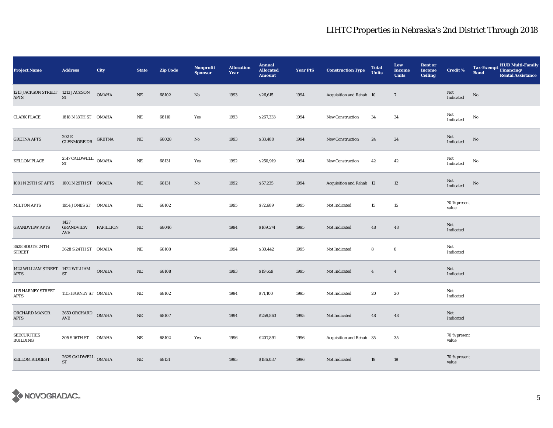| <b>Project Name</b>                             | <b>Address</b>                                    | City             | <b>State</b> | <b>Zip Code</b> | <b>Nonprofit</b><br><b>Sponsor</b> | <b>Allocation</b><br>Year | <b>Annual</b><br><b>Allocated</b><br><b>Amount</b> | <b>Year PIS</b> | <b>Construction Type</b> | <b>Total</b><br><b>Units</b> | Low<br><b>Income</b><br><b>Units</b> | <b>Rent or</b><br><b>Income</b><br><b>Ceiling</b> | <b>Credit %</b>       | <b>Bond</b>   | Tax-Exempt HUD Multi-Family<br><b>Rental Assistance</b> |
|-------------------------------------------------|---------------------------------------------------|------------------|--------------|-----------------|------------------------------------|---------------------------|----------------------------------------------------|-----------------|--------------------------|------------------------------|--------------------------------------|---------------------------------------------------|-----------------------|---------------|---------------------------------------------------------|
| 1213 JACKSON STREET 1213 JACKSON<br>APTS        | ${\rm ST}$                                        | <b>OMAHA</b>     | $\rm NE$     | 68102           | $\mathbf{N}\mathbf{o}$             | 1993                      | \$26,615                                           | 1994            | Acquisition and Rehab 10 |                              | $7\phantom{.0}$                      |                                                   | Not<br>Indicated      | No            |                                                         |
| <b>CLARK PLACE</b>                              | 1818 N 18TH ST OMAHA                              |                  | $\rm NE$     | 68110           | Yes                                | 1993                      | \$267,333                                          | 1994            | <b>New Construction</b>  | 34                           | 34                                   |                                                   | Not<br>Indicated      | No            |                                                         |
| <b>GRETNA APTS</b>                              | 202 E<br><b>GLENMORE DR</b>                       | <b>GRETNA</b>    | NE           | 68028           | No                                 | 1993                      | \$33,480                                           | 1994            | New Construction         | 24                           | 24                                   |                                                   | Not<br>Indicated      | $\mathbf{No}$ |                                                         |
| <b>KELLOM PLACE</b>                             | $2517$ CALDWELL $\,$ OMAHA<br>${\rm ST}$          |                  | $\rm NE$     | 68131           | Yes                                | 1992                      | \$250,919                                          | 1994            | New Construction         | 42                           | 42                                   |                                                   | Not<br>Indicated      | No            |                                                         |
| 1001 N 29TH ST APTS                             | 1001 N 29TH ST OMAHA                              |                  | $\rm NE$     | 68131           | No                                 | 1992                      | \$57,235                                           | 1994            | Acquisition and Rehab 12 |                              | 12                                   |                                                   | Not<br>Indicated      | No            |                                                         |
| <b>MILTON APTS</b>                              | 1954 JONES ST OMAHA                               |                  | NE           | 68102           |                                    | 1995                      | \$72,689                                           | 1995            | Not Indicated            | 15                           | 15                                   |                                                   | 70 % present<br>value |               |                                                         |
| <b>GRANDVIEW APTS</b>                           | 1427<br><b>GRANDVIEW</b><br>AVE                   | <b>PAPILLION</b> | $\rm NE$     | 68046           |                                    | 1994                      | \$169,574                                          | 1995            | Not Indicated            | 48                           | 48                                   |                                                   | Not<br>Indicated      |               |                                                         |
| 3628 SOUTH 24TH<br><b>STREET</b>                | 3628 S 24TH ST OMAHA                              |                  | NE           | 68108           |                                    | 1994                      | \$30,442                                           | 1995            | Not Indicated            | 8                            | 8                                    |                                                   | Not<br>Indicated      |               |                                                         |
| 1422 WILLIAM STREET 1422 WILLIAM<br><b>APTS</b> | ST                                                | <b>OMAHA</b>     | $\rm NE$     | 68108           |                                    | 1993                      | \$19,659                                           | 1995            | Not Indicated            | $\overline{4}$               | $\overline{4}$                       |                                                   | Not<br>Indicated      |               |                                                         |
| 1115 HARNEY STREET<br><b>APTS</b>               | 1115 HARNEY ST OMAHA                              |                  | $\rm NE$     | 68102           |                                    | 1994                      | \$71,100                                           | 1995            | Not Indicated            | 20                           | 20                                   |                                                   | Not<br>Indicated      |               |                                                         |
| ORCHARD MANOR<br>APTS                           | $3650$ ORCHARD $\quad$ OMAHA<br>AVE               |                  | $\rm NE$     | 68107           |                                    | 1994                      | \$259,863                                          | 1995            | Not Indicated            | 48                           | 48                                   |                                                   | Not<br>Indicated      |               |                                                         |
| <b>SEECURITIES</b><br>BUILDING                  | 305 S 16TH ST                                     | <b>OMAHA</b>     | $\rm NE$     | 68102           | Yes                                | 1996                      | \$207,891                                          | 1996            | Acquisition and Rehab 35 |                              | 35                                   |                                                   | 70 % present<br>value |               |                                                         |
| <b>KELLOM RIDGES I</b>                          | $2629$ CALDWELL $\,$ OMAHA<br>$\operatorname{ST}$ |                  | $\rm NE$     | 68131           |                                    | 1995                      | \$186,037                                          | 1996            | Not Indicated            | 19                           | 19                                   |                                                   | 70 % present<br>value |               |                                                         |

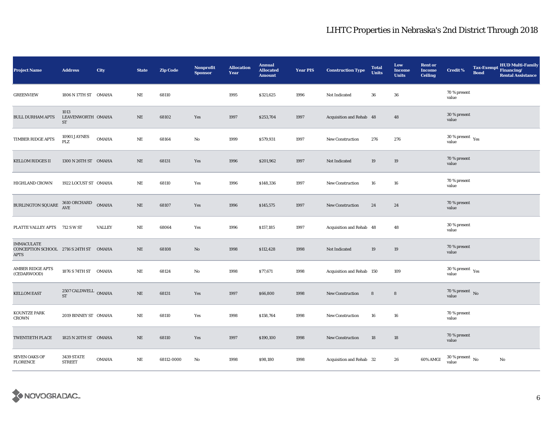| <b>Project Name</b>                                                                                                          | <b>Address</b>                             | City          | <b>State</b> | <b>Zip Code</b> | <b>Nonprofit</b><br><b>Sponsor</b> | <b>Allocation</b><br>Year | <b>Annual</b><br><b>Allocated</b><br><b>Amount</b> | <b>Year PIS</b> | <b>Construction Type</b>  | <b>Total</b><br><b>Units</b> | Low<br><b>Income</b><br><b>Units</b> | <b>Rent or</b><br><b>Income</b><br><b>Ceiling</b> | <b>Credit %</b>                               | <b>Bond</b> | <b>HUD Multi-Family</b><br>Tax-Exempt Financing/<br><b>Rental Assistance</b> |
|------------------------------------------------------------------------------------------------------------------------------|--------------------------------------------|---------------|--------------|-----------------|------------------------------------|---------------------------|----------------------------------------------------|-----------------|---------------------------|------------------------------|--------------------------------------|---------------------------------------------------|-----------------------------------------------|-------------|------------------------------------------------------------------------------|
| <b>GREENVIEW</b>                                                                                                             | 1806 N 17TH ST OMAHA                       |               | $\rm NE$     | 68110           |                                    | 1995                      | \$321,625                                          | 1996            | Not Indicated             | 36                           | 36                                   |                                                   | 70 % present<br>value                         |             |                                                                              |
| <b>BULL DURHAM APTS</b>                                                                                                      | 1013<br>LEAVENWORTH OMAHA<br><b>ST</b>     |               | $\rm NE$     | 68102           | Yes                                | 1997                      | \$253,704                                          | 1997            | Acquisition and Rehab 48  |                              | 48                                   |                                                   | 30 % present<br>value                         |             |                                                                              |
| <b>TIMBER RIDGE APTS</b>                                                                                                     | 10901 JAYNES<br><b>PLZ</b>                 | <b>OMAHA</b>  | $\rm NE$     | 68164           | No                                 | 1999                      | \$579,931                                          | 1997            | New Construction          | 276                          | 276                                  |                                                   | $30$ % present $\rm \gamma_{\rm PS}$<br>value |             |                                                                              |
| <b>KELLOM RIDGES II</b>                                                                                                      | 1300 N 26TH ST OMAHA                       |               | NE           | 68131           | Yes                                | 1996                      | \$201,962                                          | 1997            | Not Indicated             | 19                           | 19                                   |                                                   | 70 % present<br>value                         |             |                                                                              |
| <b>HIGHLAND CROWN</b>                                                                                                        | 1922 LOCUST ST OMAHA                       |               | $\rm NE$     | 68110           | Yes                                | 1996                      | \$148,336                                          | 1997            | <b>New Construction</b>   | 16                           | 16                                   |                                                   | 70 % present<br>value                         |             |                                                                              |
| $\textbf{BURLINGTON SQUARE} \quad \substack{\textbf{3610} \textbf{ORCHARD} \\ \textbf{AVE}} \quad \substack{\textbf{OMAHA}}$ |                                            |               | $\rm NE$     | 68107           | Yes                                | 1996                      | \$145,575                                          | 1997            | New Construction          | 24                           | 24                                   |                                                   | 70 % present<br>value                         |             |                                                                              |
| PLATTE VALLEY APTS 712 SW ST                                                                                                 |                                            | <b>VALLEY</b> | $\rm NE$     | 68064           | Yes                                | 1996                      | \$157,185                                          | 1997            | Acquisition and Rehab 48  |                              | 48                                   |                                                   | 30 % present<br>value                         |             |                                                                              |
| <b>IMMACULATE</b><br>CONCEPTION SCHOOL 2716 S 24TH ST OMAHA<br>APTS                                                          |                                            |               | $\rm NE$     | 68108           | $\mathbf{N}\mathbf{o}$             | 1998                      | \$112,428                                          | 1998            | Not Indicated             | 19                           | 19                                   |                                                   | 70 % present<br>value                         |             |                                                                              |
| <b>AMBER RIDGE APTS</b><br>(CEDARWOOD)                                                                                       | 1876 S 74TH ST OMAHA                       |               | $\rm NE$     | 68124           | No                                 | 1998                      | \$77,671                                           | 1998            | Acquisition and Rehab 150 |                              | 109                                  |                                                   | $30$ % present $\rm\thinspace\,Yes$<br>value  |             |                                                                              |
| <b>KELLOM EAST</b>                                                                                                           | $2507\,\mbox{CALDWELL}$ OMAHA<br><b>ST</b> |               | $\rm NE$     | 68131           | Yes                                | 1997                      | \$66,800                                           | 1998            | New Construction          | $\bf 8$                      | $\bf 8$                              |                                                   | 70 % present $\,$ No $\,$<br>value            |             |                                                                              |
| <b>KOUNTZE PARK</b><br>CROWN                                                                                                 | 2019 BINNEY ST OMAHA                       |               | $\rm NE$     | 68110           | Yes                                | 1998                      | \$158,764                                          | 1998            | <b>New Construction</b>   | 16                           | 16                                   |                                                   | 70 % present<br>value                         |             |                                                                              |
| TWENTIETH PLACE                                                                                                              | 1825 N 20TH ST OMAHA                       |               | $\rm NE$     | 68110           | Yes                                | 1997                      | \$190,100                                          | 1998            | New Construction          | 18                           | 18                                   |                                                   | 70 % present<br>value                         |             |                                                                              |
| SEVEN OAKS OF<br><b>FLORENCE</b>                                                                                             | <b>3439 STATE</b><br><b>STREET</b>         | <b>OMAHA</b>  | $\rm NE$     | 68112-0000      | No                                 | 1998                      | \$98,180                                           | 1998            | Acquisition and Rehab 32  |                              | 26                                   | 60% AMGI                                          | $30\,\%$ present $\,$ No value                |             | No                                                                           |

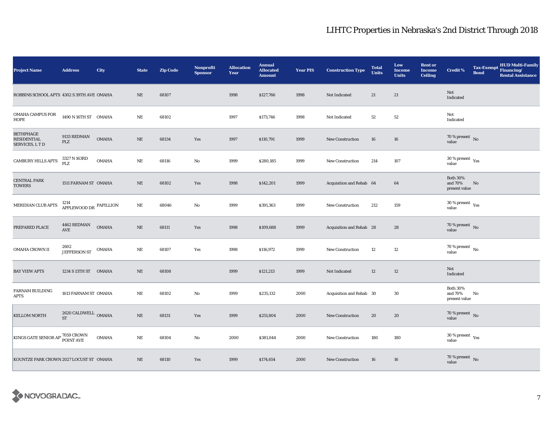| <b>Project Name</b>                                | <b>Address</b>                          | City         | <b>State</b> | <b>Zip Code</b> | Nonprofit<br><b>Sponsor</b> | <b>Allocation</b><br>Year | <b>Annual</b><br><b>Allocated</b><br><b>Amount</b> | <b>Year PIS</b> | <b>Construction Type</b> | <b>Total</b><br><b>Units</b> | Low<br><b>Income</b><br><b>Units</b> | <b>Rent or</b><br><b>Income</b><br><b>Ceiling</b> | <b>Credit %</b>                                      | <b>Bond</b> | <b>HUD Multi-Family</b><br>Tax-Exempt Financing/<br><b>Rental Assistance</b> |
|----------------------------------------------------|-----------------------------------------|--------------|--------------|-----------------|-----------------------------|---------------------------|----------------------------------------------------|-----------------|--------------------------|------------------------------|--------------------------------------|---------------------------------------------------|------------------------------------------------------|-------------|------------------------------------------------------------------------------|
| ROBBINS SCHOOL APTS 4302 S 39TH AVE OMAHA          |                                         |              | NE           | 68107           |                             | 1998                      | \$127,766                                          | 1998            | Not Indicated            | 21                           | 21                                   |                                                   | Not<br>Indicated                                     |             |                                                                              |
| OMAHA CAMPUS FOR<br>HOPE                           | 1490 N 16TH ST OMAHA                    |              | $\rm NE$     | 68102           |                             | 1997                      | \$173,746                                          | 1998            | Not Indicated            | 52                           | 52                                   |                                                   | Not<br>Indicated                                     |             |                                                                              |
| BETHPHAGE<br><b>RESIDENTIAL</b><br>SERVICES, L T D | 9133 REDMAN<br>PLZ                      | OMAHA        | $\rm NE$     | 68134           | Yes                         | 1997                      | \$110,791                                          | 1999            | <b>New Construction</b>  | 16                           | 16                                   |                                                   | $70\,\%$ present $\,$ No value                       |             |                                                                              |
| CAMBURY HILLS APTS                                 | 3327 N 163RD<br>PLZ                     | <b>OMAHA</b> | $\rm NE$     | 68116           | No                          | 1999                      | \$280,185                                          | 1999            | <b>New Construction</b>  | 214                          | 107                                  |                                                   | $30$ % present $\rm\thinspace\,Yes$<br>value         |             |                                                                              |
| <b>CENTRAL PARK</b><br><b>TOWERS</b>               | 1511 FARNAM ST OMAHA                    |              | $\rm NE$     | 68102           | Yes                         | 1998                      | \$142,201                                          | 1999            | Acquisition and Rehab 64 |                              | 64                                   |                                                   | <b>Both 30%</b><br>and 70%<br>present value          | No          |                                                                              |
| MERIDIAN CLUB APTS                                 | $^{1214}_{\rm APPLEWOOD\,DR}$ PAPILLION |              | NE           | 68046           | No                          | 1999                      | \$391,363                                          | 1999            | <b>New Construction</b>  | 212                          | 159                                  |                                                   | 30 % present $\rm\thinspace\gamma_{\rm es}$<br>value |             |                                                                              |
| PREPARED PLACE                                     | 4462 REDMAN<br><b>AVE</b>               | <b>OMAHA</b> | $\rm NE$     | 68111           | Yes                         | 1998                      | \$109,688                                          | 1999            | Acquisition and Rehab 28 |                              | 28                                   |                                                   | $70\,\%$ present $${\rm No}$$ value                  |             |                                                                              |
| OMAHA CROWN II                                     | 2602<br>JEFFERSON ST                    | OMAHA        | NE           | 68107           | Yes                         | 1998                      | \$116,972                                          | 1999            | <b>New Construction</b>  | 12                           | 12                                   |                                                   | $70\,\%$ present $\,$ No value                       |             |                                                                              |
| <b>BAY VIEW APTS</b>                               | 1234 S 13TH ST OMAHA                    |              | NE           | 68108           |                             | 1999                      | \$121,213                                          | 1999            | Not Indicated            | 12                           | 12                                   |                                                   | Not<br>Indicated                                     |             |                                                                              |
| FARNAM BUILDING<br><b>APTS</b>                     | 1613 FARNAM ST OMAHA                    |              | NE           | 68102           | $\mathbf{No}$               | 1999                      | \$235,132                                          | 2000            | Acquisition and Rehab 30 |                              | 30                                   |                                                   | <b>Both 30%</b><br>and 70%<br>present value          | No          |                                                                              |
| <b>KELLOM NORTH</b>                                | $2620$ CALDWELL $\,$ OMAHA<br><b>ST</b> |              | $\rm NE$     | 68131           | Yes                         | 1999                      | \$251,804                                          | 2000            | <b>New Construction</b>  | 20                           | 20                                   |                                                   | $70\,\%$ present $\,$ No value                       |             |                                                                              |
| KINGS GATE SENIOR AP 7059 CROWN<br>POINT AVE       |                                         | <b>OMAHA</b> | $\rm NE$     | 68104           | No                          | 2000                      | \$381,044                                          | 2000            | <b>New Construction</b>  | 180                          | 180                                  |                                                   | $30\,\%$ present $\,$ $\rm Yes$<br>value             |             |                                                                              |
| KOUNTZE PARK CROWN 2027 LOCUST ST OMAHA            |                                         |              | $\rm{NE}$    | 68110           | Yes                         | 1999                      | \$174,654                                          | 2000            | <b>New Construction</b>  | 16                           | 16                                   |                                                   | $70\,\%$ present $\,$ No value                       |             |                                                                              |

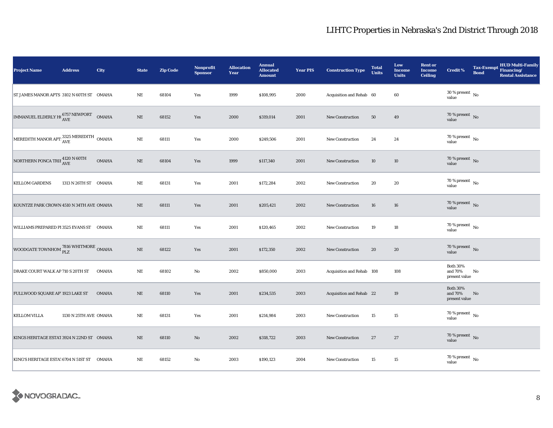| <b>Project Name</b>                                                                                                                                             | <b>Address</b>        | <b>City</b>  | <b>State</b> | <b>Zip Code</b> | <b>Nonprofit</b><br><b>Sponsor</b> | <b>Allocation</b><br>Year | <b>Annual</b><br><b>Allocated</b><br><b>Amount</b> | <b>Year PIS</b> | <b>Construction Type</b>  | <b>Total</b><br><b>Units</b> | Low<br><b>Income</b><br><b>Units</b> | <b>Rent or</b><br><b>Income</b><br><b>Ceiling</b> | <b>Credit %</b>                             | <b>Bond</b> | <b>HUD Multi-Family</b><br>Tax-Exempt Financing/<br><b>Rental Assistance</b> |
|-----------------------------------------------------------------------------------------------------------------------------------------------------------------|-----------------------|--------------|--------------|-----------------|------------------------------------|---------------------------|----------------------------------------------------|-----------------|---------------------------|------------------------------|--------------------------------------|---------------------------------------------------|---------------------------------------------|-------------|------------------------------------------------------------------------------|
| ST JAMES MANOR APTS 3102 N 60TH ST OMAHA                                                                                                                        |                       |              | $_{\rm NE}$  | 68104           | Yes                                | 1999                      | \$108,995                                          | 2000            | Acquisition and Rehab 60  |                              | 60                                   |                                                   | $30\,\%$ present $\,$ No value              |             |                                                                              |
| $\begin{array}{lll} \text{IMMANUEL ELDERLY H( } & \begin{subarray}{l} 6757 \text{ NEWPORT} \\ \text{AVE} \end{subarray} & \text{OMAHA} \end{array} \end{array}$ |                       |              | $\rm NE$     | 68152           | Yes                                | 2000                      | \$319,014                                          | 2001            | <b>New Construction</b>   | 50                           | 49                                   |                                                   | 70 % present $\overline{N_0}$<br>value      |             |                                                                              |
| MEREDITH MANOR APT $_{\text{AVE}}^{3325 \text{ MEREDITH}}$ OMAHA                                                                                                |                       |              | $\rm NE$     | 68111           | Yes                                | 2000                      | \$249,506                                          | 2001            | New Construction          | 24                           | 24                                   |                                                   | $70\,\%$ present $\,$ No $\,$<br>value      |             |                                                                              |
| NORTHERN PONCA TRIE 4120 N 60TH                                                                                                                                 |                       | <b>OMAHA</b> | $\rm NE$     | 68104           | Yes                                | 1999                      | \$117,340                                          | 2001            | New Construction          | 10                           | 10                                   |                                                   | 70 % present $\hbox{~No}$<br>value          |             |                                                                              |
| <b>KELLOM GARDENS</b>                                                                                                                                           | 1313 N 26TH ST OMAHA  |              | $_{\rm NE}$  | 68131           | Yes                                | 2001                      | \$172,284                                          | 2002            | New Construction          | 20                           | 20                                   |                                                   | 70 % present $\hbox{~No}$<br>value          |             |                                                                              |
| KOUNTZE PARK CROWN 4510 N 34TH AVE OMAHA                                                                                                                        |                       |              | $\rm NE$     | 68111           | Yes                                | 2001                      | \$205,421                                          | 2002            | New Construction          | 16                           | 16                                   |                                                   | $70\%$ present No<br>value                  |             |                                                                              |
| WILLIAMS PREPARED PI 3525 EVANS ST OMAHA                                                                                                                        |                       |              | $\rm NE$     | 68111           | Yes                                | 2001                      | \$120,465                                          | 2002            | <b>New Construction</b>   | 19                           | 18                                   |                                                   | 70 % present $\hbox{~No}$<br>value          |             |                                                                              |
| WOODGATE TOWNHOM $\frac{\text{7816}}{\text{PLZ}}$ WHITMORE OMAHA                                                                                                |                       |              | $\rm NE$     | 68122           | Yes                                | 2001                      | \$172,350                                          | 2002            | New Construction          | 20                           | 20                                   |                                                   | $70\%$ present No<br>value                  |             |                                                                              |
| DRAKE COURT WALK AP 710 S 20TH ST                                                                                                                               |                       | <b>OMAHA</b> | $_{\rm NE}$  | 68102           | No                                 | 2002                      | \$850,000                                          | 2003            | Acquisition and Rehab 108 |                              | 108                                  |                                                   | <b>Both 30%</b><br>and 70%<br>present value | No          |                                                                              |
| FULLWOOD SQUARE AP 1923 LAKE ST                                                                                                                                 |                       | <b>OMAHA</b> | $\rm NE$     | 68110           | Yes                                | 2001                      | \$234,535                                          | 2003            | Acquisition and Rehab 22  |                              | 19                                   |                                                   | <b>Both 30%</b><br>and 70%<br>present value | No          |                                                                              |
| <b>KELLOM VILLA</b>                                                                                                                                             | 1130 N 25TH AVE OMAHA |              | $_{\rm NE}$  | 68131           | Yes                                | 2001                      | \$214,984                                          | 2003            | <b>New Construction</b>   | 15                           | $15\,$                               |                                                   | $70$ % present $\,$ No $\,$<br>value        |             |                                                                              |
| KINGS HERITAGE ESTAT 3924 N 22ND ST OMAHA                                                                                                                       |                       |              | $\rm NE$     | 68110           | $\mathbf{N}\mathbf{o}$             | 2002                      | \$318,722                                          | 2003            | <b>New Construction</b>   | 27                           | 27                                   |                                                   | $70\,\%$ present $\,$ No value              |             |                                                                              |
| KING'S HERITAGE ESTA' 6704 N 51ST ST OMAHA                                                                                                                      |                       |              | $_{\rm NE}$  | 68152           | No                                 | 2003                      | \$190,123                                          | 2004            | New Construction          | 15                           | 15                                   |                                                   | $70$ % present $_{\, \rm No}$<br>value      |             |                                                                              |

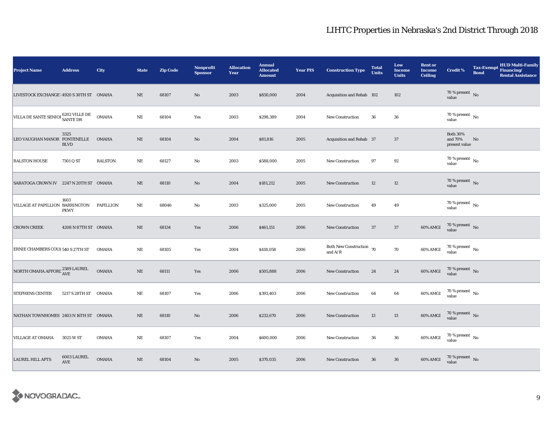| <b>Project Name</b>                                 | <b>Address</b>       | <b>City</b>    | <b>State</b> | <b>Zip Code</b> | <b>Nonprofit</b><br><b>Sponsor</b> | <b>Allocation</b><br>Year | <b>Annual</b><br><b>Allocated</b><br><b>Amount</b> | <b>Year PIS</b> | <b>Construction Type</b>              | <b>Total</b><br><b>Units</b> | Low<br>Income<br><b>Units</b> | <b>Rent or</b><br><b>Income</b><br><b>Ceiling</b> | <b>Credit %</b>                             | <b>Tax-Exempt</b><br><b>Bond</b> | <b>HUD Multi-Family</b><br>Financing/<br><b>Rental Assistance</b> |
|-----------------------------------------------------|----------------------|----------------|--------------|-----------------|------------------------------------|---------------------------|----------------------------------------------------|-----------------|---------------------------------------|------------------------------|-------------------------------|---------------------------------------------------|---------------------------------------------|----------------------------------|-------------------------------------------------------------------|
| LIVESTOCK EXCHANGE 14920 S 30TH ST OMAHA            |                      |                | NE           | 68107           | $\rm No$                           | 2003                      | \$850,000                                          | 2004            | Acquisition and Rehab 102             |                              | 102                           |                                                   | $70\,\%$ present $\,$ No value              |                                  |                                                                   |
| VILLA DE SANTE SENIOI <sup>6202</sup> VILLE DE      |                      | <b>OMAHA</b>   | $\rm NE$     | 68104           | Yes                                | 2003                      | \$298,389                                          | 2004            | <b>New Construction</b>               | 36                           | 36                            |                                                   | $70$ % present $\,$ No $\,$<br>value        |                                  |                                                                   |
| LEO VAUGHAN MANOR FONTENELLE                        | 3325<br><b>BLVD</b>  | <b>OMAHA</b>   | $\rm NE$     | 68104           | $\rm No$                           | 2004                      | \$81,816                                           | 2005            | Acquisition and Rehab 37              |                              | 37                            |                                                   | <b>Both 30%</b><br>and 70%<br>present value | No                               |                                                                   |
| <b>RALSTON HOUSE</b>                                | 7301 Q ST            | <b>RALSTON</b> | $\rm NE$     | 68127           | $\rm No$                           | 2003                      | \$588,000                                          | 2005            | New Construction                      | 97                           | 92                            |                                                   | 70 % present $\hbox{~No}$<br>value          |                                  |                                                                   |
| SARATOGA CROWN IV 2247 N 20TH ST OMAHA              |                      |                | $\rm NE$     | 68110           | No                                 | 2004                      | \$181,212                                          | 2005            | New Construction                      | 12                           | 12                            |                                                   | $70\,\%$ present $\,$ No value              |                                  |                                                                   |
| VILLAGE AT PAPILLION BARRINGTON                     | 1603<br><b>PKWY</b>  | PAPILLION      | NE           | 68046           | No                                 | 2003                      | \$325,000                                          | 2005            | <b>New Construction</b>               | 49                           | 49                            |                                                   | $70$ % present $\,$ No $\,$<br>value        |                                  |                                                                   |
| <b>CROWN CREEK</b>                                  | 4208 N 87TH ST OMAHA |                | $\rm NE$     | 68134           | Yes                                | 2006                      | \$461,151                                          | 2006            | <b>New Construction</b>               | 37                           | $37\,$                        | 60% AMGI                                          | $70\,\%$ present $\;$ No value              |                                  |                                                                   |
| ERNIE CHAMBERS COUF 540 S 27TH ST                   |                      | <b>OMAHA</b>   | $\rm NE$     | 68105           | Yes                                | 2004                      | \$418,058                                          | 2006            | Both New Construction 70<br>and $A/R$ |                              | 70                            | 60% AMGI                                          | $70\,\%$ present $\,$ No $\,$<br>value      |                                  |                                                                   |
| NORTH OMAHA AFFORE $^{2589\, \rm LAURE} _{\rm AVE}$ |                      | <b>OMAHA</b>   | $\rm NE$     | 68111           | Yes                                | 2006                      | \$505,888                                          | 2006            | New Construction                      | 24                           | 24                            | 60% AMGI                                          | $70\,\%$ present $\,$ No value              |                                  |                                                                   |
| <b>STEPHENS CENTER</b>                              | 5217 S 28TH ST OMAHA |                | NE           | 68107           | Yes                                | 2006                      | \$393,403                                          | 2006            | <b>New Construction</b>               | 64                           | 64                            | 60% AMGI                                          | $70$ % present $\,$ No $\,$<br>value        |                                  |                                                                   |
| NATHAN TOWNHOMES 2403 N 16TH ST OMAHA               |                      |                | $\rm NE$     | 68110           | $\rm No$                           | 2006                      | \$232,670                                          | 2006            | New Construction                      | 13                           | 13                            | 60% AMGI                                          | 70 % present No<br>value                    |                                  |                                                                   |
| <b>VILLAGE AT OMAHA</b>                             | 3025 W ST            | <b>OMAHA</b>   | $\rm NE$     | 68107           | Yes                                | 2004                      | \$600,000                                          | 2006            | <b>New Construction</b>               | 36                           | ${\bf 36}$                    | 60% AMGI                                          | 70 % present $\hbox{~No}$<br>value          |                                  |                                                                   |
| <b>LAUREL HILL APTS</b>                             | 6003 LAUREL<br>AVE   | <b>OMAHA</b>   | $\rm NE$     | 68104           | No                                 | 2005                      | \$370,035                                          | 2006            | <b>New Construction</b>               | 36                           | ${\bf 36}$                    | 60% AMGI                                          | $70$ % present $\,$ No value                |                                  |                                                                   |

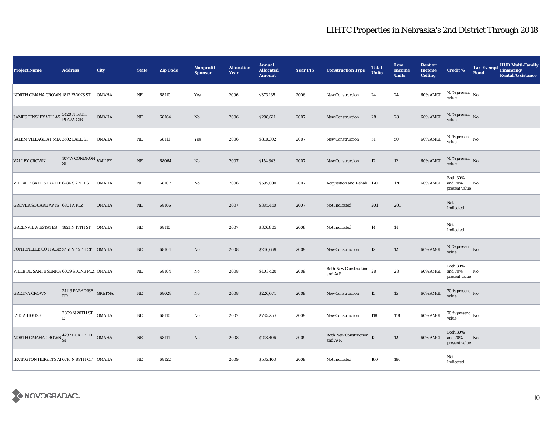| <b>Project Name</b>                                 | <b>Address</b>                              | City         | <b>State</b> | <b>Zip Code</b> | Nonprofit<br><b>Sponsor</b> | <b>Allocation</b><br>Year | <b>Annual</b><br><b>Allocated</b><br><b>Amount</b> | <b>Year PIS</b> | <b>Construction Type</b>                                                               | <b>Total</b><br><b>Units</b> | Low<br>Income<br><b>Units</b> | <b>Rent or</b><br><b>Income</b><br><b>Ceiling</b> | Credit %                                    | <b>Tax-Exempt</b><br><b>Bond</b> | HUD Multi-Family<br>Financing/<br><b>Rental Assistance</b> |
|-----------------------------------------------------|---------------------------------------------|--------------|--------------|-----------------|-----------------------------|---------------------------|----------------------------------------------------|-----------------|----------------------------------------------------------------------------------------|------------------------------|-------------------------------|---------------------------------------------------|---------------------------------------------|----------------------------------|------------------------------------------------------------|
| NORTH OMAHA CROWN 1812 EVANS ST                     |                                             | OMAHA        | $\rm NE$     | 68110           | Yes                         | 2006                      | \$373,135                                          | 2006            | <b>New Construction</b>                                                                | 24                           | 24                            | 60% AMGI                                          | $70\,\%$ present $\,$ No value              |                                  |                                                            |
| JAMES TINSLEY VILLAS 5420 N 58TH                    |                                             | <b>OMAHA</b> | $\rm NE$     | 68104           | No                          | 2006                      | \$298,611                                          | 2007            | <b>New Construction</b>                                                                | 28                           | 28                            | 60% AMGI                                          | $70\,\%$ present $\,$ No $\,$<br>value      |                                  |                                                            |
| SALEM VILLAGE AT MIA 3502 LAKE ST                   |                                             | <b>OMAHA</b> | NE           | 68111           | Yes                         | 2006                      | \$810,302                                          | 2007            | New Construction                                                                       | 51                           | 50                            | 60% AMGI                                          | $70\,\%$ present $\,$ No value              |                                  |                                                            |
| <b>VALLEY CROWN</b>                                 | 107 W CONDRON VALLEY<br><b>ST</b>           |              | $\rm NE$     | 68064           | $\rm No$                    | 2007                      | \$154,343                                          | 2007            | New Construction                                                                       | 12                           | 12                            | 60% AMGI                                          | $70\,\%$ present $\,$ No value              |                                  |                                                            |
| VILLAGE GATE STRATTF 6786 S 27TH ST OMAHA           |                                             |              | $_{\rm NE}$  | 68107           | $\rm No$                    | 2006                      | \$595,000                                          | 2007            | Acquisition and Rehab 170                                                              |                              | 170                           | 60% AMGI                                          | <b>Both 30%</b><br>and 70%<br>present value | No                               |                                                            |
| <b>GROVER SQUARE APTS 6801 A PLZ</b>                |                                             | <b>OMAHA</b> | $\rm NE$     | 68106           |                             | 2007                      | \$385,440                                          | 2007            | Not Indicated                                                                          | 201                          | 201                           |                                                   | Not<br>Indicated                            |                                  |                                                            |
| GREENVIEW ESTATES 1821 N 17TH ST OMAHA              |                                             |              | $\rm NE$     | 68110           |                             | 2007                      | \$326,803                                          | 2008            | Not Indicated                                                                          | 14                           | 14                            |                                                   | Not<br>Indicated                            |                                  |                                                            |
| FONTENELLE COTTAGE: 3451 N 45TH CT OMAHA            |                                             |              | $\rm NE$     | 68104           | $\rm No$                    | 2008                      | \$246,669                                          | 2009            | <b>New Construction</b>                                                                | 12                           | $12\,$                        | 60% AMGI                                          | $70\,\%$ present $\,$ No value              |                                  |                                                            |
| VILLE DE SANTE SENIOF 6009 STONE PLZ OMAHA          |                                             |              | $_{\rm NE}$  | 68104           | No                          | 2008                      | \$403,420                                          | 2009            | Both New Construction 28<br>and $\ensuremath{\mathrm{A}}/\ensuremath{\mathrm{R}}$      |                              | $\bf 28$                      | 60% AMGI                                          | <b>Both 30%</b><br>and 70%<br>present value | No                               |                                                            |
| <b>GRETNA CROWN</b>                                 | 21113 PARADISE GRETNA<br>DR                 |              | $\rm NE$     | 68028           | $\rm No$                    | 2008                      | \$226,674                                          | 2009            | <b>New Construction</b>                                                                | 15                           | 15                            | 60% AMGI                                          | $70\,\%$ present $\,$ No value              |                                  |                                                            |
| <b>LYDIA HOUSE</b>                                  | $2809$ N $20\mathrm{TH}\ \mathrm{ST}$ OMAHA |              | $\rm NE$     | 68110           | $\mathbf{No}$               | 2007                      | \$785,250                                          | 2009            | New Construction                                                                       | 118                          | 118                           | 60% AMGI                                          | 70 % present $\hbox{~No}$<br>value          |                                  |                                                            |
| NORTH OMAHA CROWN $_{\rm ST}^{4237}$ BURDETTE OMAHA |                                             |              | $\rm NE$     | 68111           | $\rm No$                    | 2008                      | \$218,406                                          | 2009            | Both New Construction $_{12}$<br>and $\ensuremath{\mathrm{A}}/\ensuremath{\mathrm{R}}$ |                              | 12                            | 60% AMGI                                          | <b>Both 30%</b><br>and 70%<br>present value | No                               |                                                            |
| IRVINGTON HEIGHTS AI 6710 N 89TH CT OMAHA           |                                             |              | $_{\rm NE}$  | 68122           |                             | 2009                      | \$535,403                                          | 2009            | Not Indicated                                                                          | 160                          | 160                           |                                                   | Not<br>Indicated                            |                                  |                                                            |

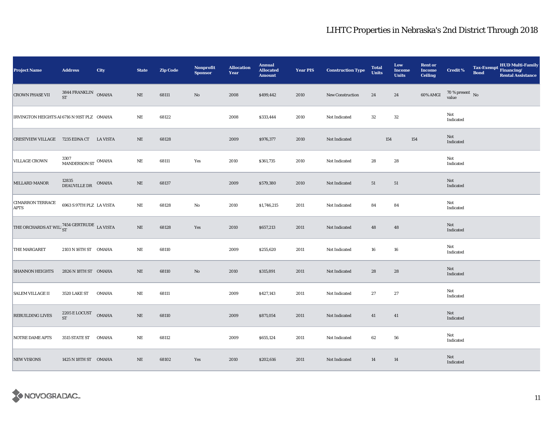| <b>Project Name</b>                                              | <b>Address</b>                                         | City         | <b>State</b> | <b>Zip Code</b> | <b>Nonprofit</b><br><b>Sponsor</b> | <b>Allocation</b><br>Year | <b>Annual</b><br><b>Allocated</b><br><b>Amount</b> | <b>Year PIS</b> | <b>Construction Type</b> | <b>Total</b><br><b>Units</b> | Low<br><b>Income</b><br><b>Units</b> | <b>Rent or</b><br><b>Income</b><br><b>Ceiling</b> | <b>Credit %</b>                                   | <b>Bond</b> | Tax-Exempt HUD Multi-Family<br><b>Rental Assistance</b> |
|------------------------------------------------------------------|--------------------------------------------------------|--------------|--------------|-----------------|------------------------------------|---------------------------|----------------------------------------------------|-----------------|--------------------------|------------------------------|--------------------------------------|---------------------------------------------------|---------------------------------------------------|-------------|---------------------------------------------------------|
| <b>CROWN PHASE VII</b>                                           | 3844 FRANKLIN $\,$ OMAHA ST                            |              | $\rm NE$     | 68111           | $\rm No$                           | 2008                      | \$499,442                                          | 2010            | <b>New Construction</b>  | 24                           | 24                                   | 60% AMGI                                          | $70\,\%$ present $\,$ No value                    |             |                                                         |
| IRVINGTON HEIGHTS AI 6716 N 91ST PLZ OMAHA                       |                                                        |              | NE           | 68122           |                                    | 2008                      | \$333,444                                          | 2010            | Not Indicated            | $32\,$                       | $32\,$                               |                                                   | Not<br>Indicated                                  |             |                                                         |
| CRESTVIEW VILLAGE 7235 EDNA CT LA VISTA                          |                                                        |              | $\rm NE$     | 68128           |                                    | 2009                      | \$976,377                                          | 2010            | Not Indicated            | 154                          | 154                                  |                                                   | Not<br>$\label{lem:indicated} \textbf{Indicated}$ |             |                                                         |
| <b>VILLAGE CROWN</b>                                             | $3307$ MANDERSON ST $\,$ OMAHA                         |              | $\rm{NE}$    | 68111           | Yes                                | 2010                      | \$361,735                                          | 2010            | Not Indicated            | 28                           | 28                                   |                                                   | Not<br>Indicated                                  |             |                                                         |
| MILLARD MANOR                                                    | $12835$ DEAUVILLE DR $\,$ OMAHA                        |              | $\rm NE$     | 68137           |                                    | 2009                      | \$579,380                                          | 2010            | Not Indicated            | 51                           | 51                                   |                                                   | Not<br>Indicated                                  |             |                                                         |
| <b>CIMARRON TERRACE</b><br><b>APTS</b>                           | 6963 S 97TH PLZ LA VISTA                               |              | $\rm NE$     | 68128           | $\rm No$                           | 2010                      | \$1,746,215                                        | 2011            | Not Indicated            | 84                           | 84                                   |                                                   | Not<br>Indicated                                  |             |                                                         |
| THE ORCHARDS AT WILL $_{\rm ST}^{7454\ {\rm GERTRUDE}}$ LA VISTA |                                                        |              | $\rm{NE}$    | 68128           | Yes                                | 2010                      | \$657,213                                          | 2011            | Not Indicated            | 48                           | 48                                   |                                                   | Not<br>Indicated                                  |             |                                                         |
| THE MARGARET                                                     | 2103 N 16TH ST OMAHA                                   |              | $\rm NE$     | 68110           |                                    | 2009                      | \$255,620                                          | 2011            | Not Indicated            | ${\bf 16}$                   | ${\bf 16}$                           |                                                   | Not<br>Indicated                                  |             |                                                         |
| <b>SHANNON HEIGHTS</b>                                           | 2826 N 18TH ST OMAHA                                   |              | $\rm NE$     | 68110           | $\mathbf{N}\mathbf{o}$             | 2010                      | \$315,891                                          | 2011            | Not Indicated            | 28                           | 28                                   |                                                   | Not<br>Indicated                                  |             |                                                         |
| <b>SALEM VILLAGE II</b>                                          | 3520 LAKE ST                                           | <b>OMAHA</b> | $_{\rm NE}$  | 68111           |                                    | 2009                      | \$427,143                                          | 2011            | Not Indicated            | 27                           | 27                                   |                                                   | Not<br>Indicated                                  |             |                                                         |
| <b>REBUILDING LIVES</b>                                          | $2205\,\mathrm{E}\,\mathrm{LOCUST}$ OMAHA<br><b>ST</b> |              | NE           | 68110           |                                    | 2009                      | \$871,054                                          | 2011            | Not Indicated            | 41                           | 41                                   |                                                   | Not<br>Indicated                                  |             |                                                         |
| NOTRE DAME APTS                                                  | 3515 STATE ST OMAHA                                    |              | $\rm NE$     | 68112           |                                    | 2009                      | \$655,124                                          | 2011            | Not Indicated            | 62                           | 56                                   |                                                   | Not<br>Indicated                                  |             |                                                         |
| <b>NEW VISIONS</b>                                               | 1425 N 18TH ST OMAHA                                   |              | $\rm NE$     | 68102           | Yes                                | 2010                      | \$202,616                                          | 2011            | Not Indicated            | 14                           | 14                                   |                                                   | Not<br>Indicated                                  |             |                                                         |

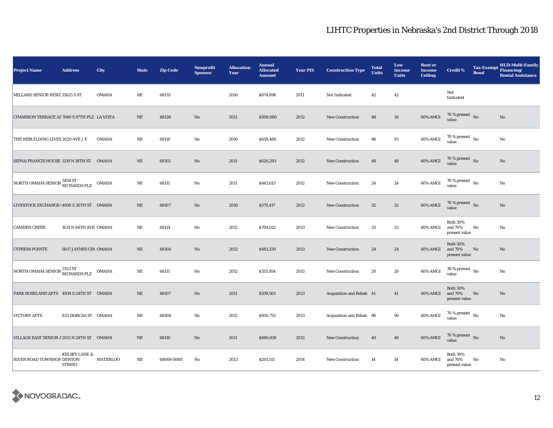| <b>Project Name</b>                                   | <b>Address</b>                            | City            | <b>State</b> | <b>Zip Code</b> | Nonprofit<br><b>Sponsor</b> | <b>Allocation</b><br>Year | <b>Annual</b><br><b>Allocated</b><br><b>Amount</b> | <b>Year PIS</b> | <b>Construction Type</b> | <b>Total</b><br><b>Units</b> | Low<br><b>Income</b><br><b>Units</b> | <b>Rent or</b><br><b>Income</b><br><b>Ceiling</b> | <b>Credit %</b>                             | <b>Tax-Exempt</b><br><b>Bond</b> | <b>HUD Multi-Family</b><br>Financing/<br><b>Rental Assistance</b> |
|-------------------------------------------------------|-------------------------------------------|-----------------|--------------|-----------------|-----------------------------|---------------------------|----------------------------------------------------|-----------------|--------------------------|------------------------------|--------------------------------------|---------------------------------------------------|---------------------------------------------|----------------------------------|-------------------------------------------------------------------|
| MILLARD SENIOR RESIL 15625 S ST                       |                                           | <b>OMAHA</b>    | $\rm NE$     | 68135           |                             | 2010                      | \$674,096                                          | 2011            | Not Indicated            | 42                           | 42                                   |                                                   | Not<br>Indicated                            |                                  |                                                                   |
| CIMARRON TERRACE AF 7040 S 97TH PLZ LA VISTA          |                                           |                 | $\rm{NE}$    | 68128           | $\rm No$                    | 2011                      | \$508,080                                          | 2012            | <b>New Construction</b>  | 48                           | ${\bf 38}$                           | 60% AMGI                                          | 70 % present $\,$ No $\,$<br>value          |                                  | $\mathbf{No}$                                                     |
| THE REBUILDING LIVES 2020 AVE J E                     |                                           | <b>OMAHA</b>    | $\rm NE$     | 68110           | $\rm No$                    | 2010                      | \$659,486                                          | 2012            | <b>New Construction</b>  | 96                           | 93                                   | 60% AMGI                                          | 70 % present $\hbox{~No}$<br>value          |                                  | No                                                                |
| SIENA/FRANCIS HOUSE 1139 N 18TH ST OMAHA              |                                           |                 | NE           | 68102           | No                          | 2011                      | \$626,293                                          | 2012            | <b>New Construction</b>  | 48                           | 48                                   | 60% AMGI                                          | $70\,\%$ present $\,$ No value              |                                  | No                                                                |
| NORTH OMAHA SENIOR <sup>5454 ST</sup> RICHARDS PLZ    |                                           | OMAHA           | $\rm NE$     | 68111           | No                          | 2011                      | \$443,613                                          | 2012            | New Construction         | 24                           | 24                                   | 60% AMGI                                          | 70 % present $\hbox{~No}$<br>value          |                                  | No                                                                |
| LIVESTOCK EXCHANGE (4930 S 30TH ST OMAHA              |                                           |                 | $\rm NE$     | 68107           | No                          | 2010                      | \$579,417                                          | 2012            | <b>New Construction</b>  | 32                           | 32                                   | 60% AMGI                                          | 70 % present $\hbox{~No}$<br>value          |                                  | No                                                                |
| <b>CAMDEN CREEK</b>                                   | 1631 N 84TH AVE OMAHA                     |                 | $_{\rm NE}$  | 68114           | $\rm No$                    | 2012                      | \$704,012                                          | 2013            | <b>New Construction</b>  | 33                           | 33                                   | 60% AMGI                                          | <b>Both 30%</b><br>and 70%<br>present value | No                               | No                                                                |
| <b>CYPRESS POINTE</b>                                 | 6017 JAYNES CIR OMAHA                     |                 | $_{\rm NE}$  | 68104           | No                          | 2012                      | \$481,339                                          | 2013            | <b>New Construction</b>  | 24                           | 24                                   | 60% AMGI                                          | <b>Both 30%</b><br>and 70%<br>present value | No                               | No                                                                |
| NORTH OMAHA SENIOR <sup>5323 ST</sup><br>RICHARDS PLZ |                                           | OMAHA           | $_{\rm NE}$  | 68111           | $\mathbf{No}$               | 2012                      | \$355,954                                          | 2013            | New Construction         | 20                           | 20                                   | 60% AMGI                                          | $30\,\%$ present $\,$ No value              |                                  | No                                                                |
| PARK ROSELAND APTS 4934 S 24TH ST OMAHA               |                                           |                 | $\rm NE$     | 68107           | No                          | 2011                      | \$339,501                                          | 2013            | Acquisition and Rehab 41 |                              | 41                                   | 60% AMGI                                          | <b>Both 30%</b><br>and 70%<br>present value | No                               | No                                                                |
| VICTORY APTS                                          | 825 DORCAS ST OMAHA                       |                 | $_{\rm NE}$  | 68108           | No                          | 2012                      | \$950,755                                          | 2013            | Acquisition and Rehab 90 |                              | 90                                   | $60\%$ AMGI                                       | $70\,\%$ present $\,$ No value              |                                  | No                                                                |
| VILLAGE EAST SENIOR A 2011 N 24TH ST OMAHA            |                                           |                 | NE           | 68110           | No                          | 2011                      | \$686,938                                          | 2013            | New Construction         | 40                           | 40                                   | 60% AMGI                                          | 70 % present $\hbox{~No}$<br>value          |                                  | $\mathbf{N}\mathbf{o}$                                            |
| RIVER ROAD TOWNHON DENTON                             | <b>KELSEY LANE &amp;</b><br><b>STREET</b> | <b>WATERLOO</b> | $_{\rm NE}$  | 68069-0000      | No                          | 2013                      | \$201,115                                          | 2014            | New Construction         | 14                           | 14                                   | 60% AMGI                                          | <b>Both 30%</b><br>and 70%<br>present value | No                               | No                                                                |

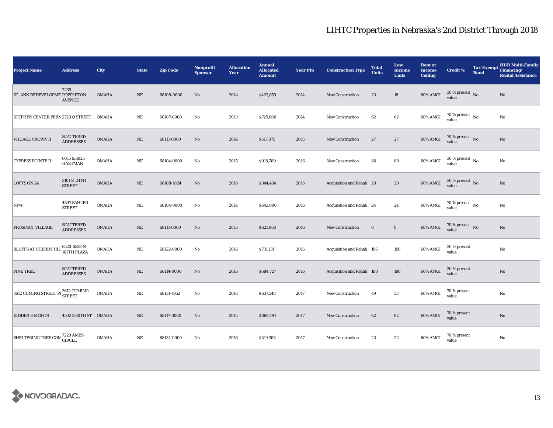| <b>Project Name</b>                                | <b>Address</b>                       | City         | <b>State</b> | <b>Zip Code</b> | Nonprofit<br><b>Sponsor</b> | <b>Allocation</b><br>Year | <b>Annual</b><br><b>Allocated</b><br><b>Amount</b> | <b>Year PIS</b> | <b>Construction Type</b>  | <b>Total</b><br><b>Units</b> | Low<br><b>Income</b><br><b>Units</b> | <b>Rent or</b><br><b>Income</b><br><b>Ceiling</b> | <b>Credit %</b>                          | <b>Tax-Exempt</b><br><b>Bond</b> | <b>HUD Multi-Family</b><br>Financing/<br><b>Rental Assistance</b> |
|----------------------------------------------------|--------------------------------------|--------------|--------------|-----------------|-----------------------------|---------------------------|----------------------------------------------------|-----------------|---------------------------|------------------------------|--------------------------------------|---------------------------------------------------|------------------------------------------|----------------------------------|-------------------------------------------------------------------|
| ST. ANN REDEVELOPME POPPLETON                      | 2239<br><b>AVENUE</b>                | <b>OMAHA</b> | NE           | 68108-0000      | No                          | 2014                      | \$423,659                                          | 2014            | <b>New Construction</b>   | 23                           | 18                                   | 60% AMGI                                          | $30\,\%$ present $\,$ No value           |                                  | No                                                                |
| STEPHEN CENTER PERN 2723 Q STREET OMAHA            |                                      |              | NE           | 68107-0000      | No                          | 2013                      | \$725,000                                          | 2014            | New Construction          | 62                           | 62                                   | 60% AMGI                                          | 70 % present $\,$ No $\,$<br>value       |                                  | No                                                                |
| <b>VILLAGE CROWN II</b>                            | <b>SCATTERED</b><br><b>ADDRESSES</b> | <b>OMAHA</b> | NE           | 68111-0000      | No                          | 2014                      | \$517,875                                          | 2015            | <b>New Construction</b>   | 27                           | 27                                   | 60% AMGI                                          | $70\,\%$ present $\,$ No value           |                                  | No                                                                |
| <b>CYPRESS POINTE II</b>                           | 6015 & 6025<br><b>HARTMAN</b>        | <b>OMAHA</b> | NE           | 68104-0000      | No                          | 2015                      | \$918,789                                          | 2016            | <b>New Construction</b>   | 80                           | 80                                   | 60% AMGI                                          | $30$ % present $\,$ No $\,$<br>value     |                                  | No                                                                |
| <b>LOFTS ON 24</b>                                 | 3101 S. 24TH<br><b>STREET</b>        | <b>OMAHA</b> | NE           | 68108-1824      | No                          | 2016                      | \$344,434                                          | 2016            | Acquisition and Rehab 20  |                              | 20                                   | 60% AMGI                                          | $30\%$ present No<br>value               |                                  | No                                                                |
| <b>NFW</b>                                         | 4847 SAHLER<br><b>STREET</b>         | <b>OMAHA</b> | $\rm NE$     | 68104-0000      | No                          | 2014                      | \$643,000                                          | 2016            | Acquisition and Rehab 24  |                              | 24                                   | 60% AMGI                                          | $70\%$ present $\overline{N_0}$<br>value |                                  | No                                                                |
| PROSPECT VILLAGE                                   | <b>SCATTERED</b><br><b>ADDRESSES</b> | <b>OMAHA</b> | $\rm NE$     | 68111-0000      | No                          | 2015                      | \$621,068                                          | 2016            | New Construction          | $\bf{0}$                     | $\bf{0}$                             | 60% AMGI                                          | $70$ % present $_{\rm{No}}$              |                                  | No                                                                |
| BLUFFS AT CHERRY HIL 6520-6538 N<br>107TH PLAZA    |                                      | <b>OMAHA</b> | NE           | 68122-0000      | No                          | 2016                      | \$731,131                                          | 2016            | Acquisition and Rehab 196 |                              | 196                                  | 60% AMGI                                          | 30 % present<br>value                    |                                  | $\rm No$                                                          |
| PINE TREE                                          | <b>SCATTERED</b><br><b>ADDRESSES</b> | <b>OMAHA</b> | $\rm NE$     | 68114-0000      | No                          | 2016                      | \$684,727                                          | 2016            | Acquisition and Rehab 198 |                              | 198                                  | 60% AMGI                                          | 30 % present<br>value                    |                                  | No                                                                |
| 3612 CUMING STREET PI $_{\rm STRET}^{3612}$ CUMING |                                      | <b>OMAHA</b> | NE           | 68131-1952      | No                          | 2016                      | \$637,548                                          | 2017            | <b>New Construction</b>   | 49                           | 33                                   | 60% AMGI                                          | 70 % present<br>value                    |                                  | No                                                                |
| <b>KIDDER HEIGHTS</b>                              | 4502 S 60TH ST OMAHA                 |              | NE           | 68117-0000      | No                          | 2015                      | \$869,491                                          | 2017            | <b>New Construction</b>   | 62                           | 62                                   | 60% AMGI                                          | 70 % present<br>value                    |                                  | No                                                                |
| SHELTERING TREE COM <sup>7220</sup> AMES           |                                      | <b>OMAHA</b> | $\rm NE$     | 68134-0000      | No                          | 2016                      | \$319,303                                          | 2017            | New Construction          | 23                           | $22\,$                               | 60% AMGI                                          | 70 % present<br>value                    |                                  | $\rm No$                                                          |